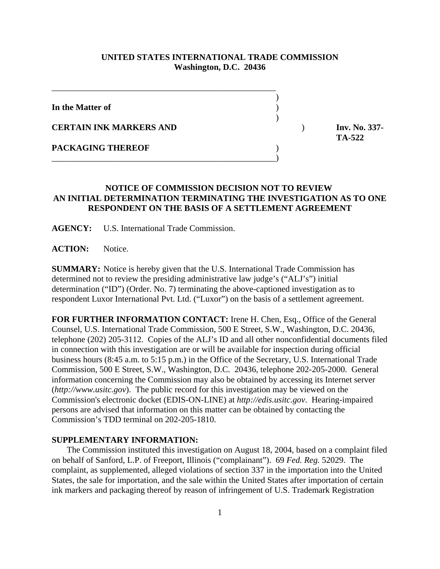## **UNITED STATES INTERNATIONAL TRADE COMMISSION Washington, D.C. 20436**

| In the Matter of               |  |
|--------------------------------|--|
| <b>CERTAIN INK MARKERS AND</b> |  |
| <b>PACKAGING THEREOF</b>       |  |
|                                |  |

**CERTAIN INK MARKERS AND** ) **Inv. No. 337- TA-522** 

## **NOTICE OF COMMISSION DECISION NOT TO REVIEW AN INITIAL DETERMINATION TERMINATING THE INVESTIGATION AS TO ONE RESPONDENT ON THE BASIS OF A SETTLEMENT AGREEMENT**

**AGENCY:** U.S. International Trade Commission.

**ACTION:** Notice.

**SUMMARY:** Notice is hereby given that the U.S. International Trade Commission has determined not to review the presiding administrative law judge's ("ALJ's") initial determination ("ID") (Order. No. 7) terminating the above-captioned investigation as to respondent Luxor International Pvt. Ltd. ("Luxor") on the basis of a settlement agreement.

**FOR FURTHER INFORMATION CONTACT:** Irene H. Chen, Esq., Office of the General Counsel, U.S. International Trade Commission, 500 E Street, S.W., Washington, D.C. 20436, telephone (202) 205-3112. Copies of the ALJ's ID and all other nonconfidential documents filed in connection with this investigation are or will be available for inspection during official business hours (8:45 a.m. to 5:15 p.m.) in the Office of the Secretary, U.S. International Trade Commission, 500 E Street, S.W., Washington, D.C. 20436, telephone 202-205-2000. General information concerning the Commission may also be obtained by accessing its Internet server (*http://www.usitc.gov*). The public record for this investigation may be viewed on the Commission's electronic docket (EDIS-ON-LINE) at *http://edis.usitc.gov*. Hearing-impaired persons are advised that information on this matter can be obtained by contacting the Commission's TDD terminal on 202-205-1810.

## **SUPPLEMENTARY INFORMATION:**

 The Commission instituted this investigation on August 18, 2004, based on a complaint filed on behalf of Sanford, L.P. of Freeport, Illinois ("complainant"). 69 *Fed. Reg.* 52029. The complaint, as supplemented, alleged violations of section 337 in the importation into the United States, the sale for importation, and the sale within the United States after importation of certain ink markers and packaging thereof by reason of infringement of U.S. Trademark Registration